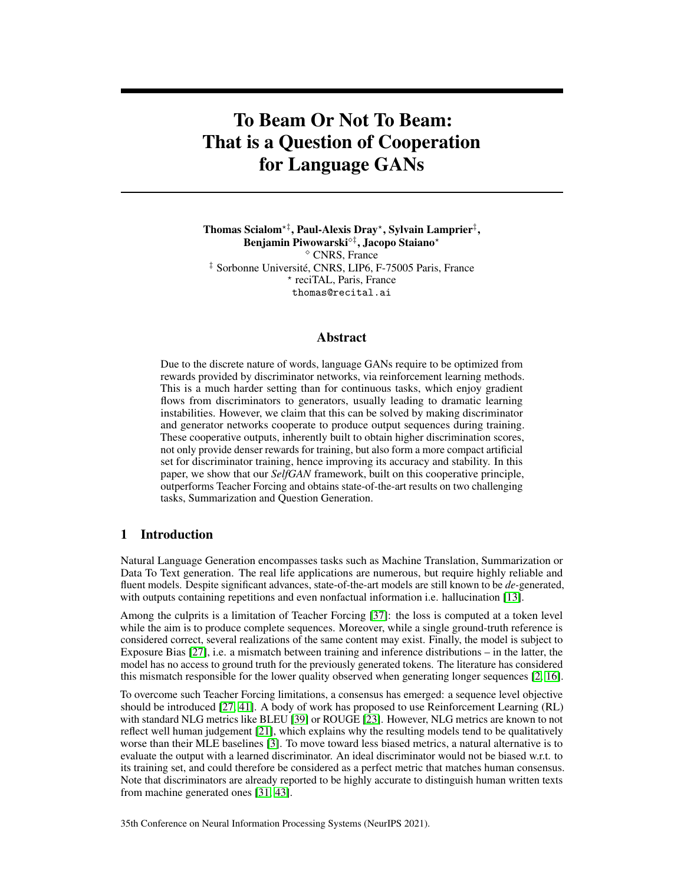# To Beam Or Not To Beam: That is a Question of Cooperation for Language GANs

Thomas Scialom\*‡, Paul-Alexis Dray\*, Sylvain Lamprier‡, Benjamin Piwowarski<sup>†</sup>, Jacopo Staiano<sup>\*</sup> CNRS, France ‡ Sorbonne Université, CNRS, LIP6, F-75005 Paris, France ? reciTAL, Paris, France thomas@recital.ai

# Abstract

Due to the discrete nature of words, language GANs require to be optimized from rewards provided by discriminator networks, via reinforcement learning methods. This is a much harder setting than for continuous tasks, which enjoy gradient flows from discriminators to generators, usually leading to dramatic learning instabilities. However, we claim that this can be solved by making discriminator and generator networks cooperate to produce output sequences during training. These cooperative outputs, inherently built to obtain higher discrimination scores, not only provide denser rewards for training, but also form a more compact artificial set for discriminator training, hence improving its accuracy and stability. In this paper, we show that our *SelfGAN* framework, built on this cooperative principle, outperforms Teacher Forcing and obtains state-of-the-art results on two challenging tasks, Summarization and Question Generation.

# 1 Introduction

Natural Language Generation encompasses tasks such as Machine Translation, Summarization or Data To Text generation. The real life applications are numerous, but require highly reliable and fluent models. Despite significant advances, state-of-the-art models are still known to be *de-*generated, with outputs containing repetitions and even nonfactual information i.e. hallucination [\[13\]](#page-10-0).

Among the culprits is a limitation of Teacher Forcing [\[37\]](#page-11-0): the loss is computed at a token level while the aim is to produce complete sequences. Moreover, while a single ground-truth reference is considered correct, several realizations of the same content may exist. Finally, the model is subject to Exposure Bias [\[27\]](#page-11-1), i.e. a mismatch between training and inference distributions – in the latter, the model has no access to ground truth for the previously generated tokens. The literature has considered this mismatch responsible for the lower quality observed when generating longer sequences [\[2,](#page-9-0) [16\]](#page-10-1).

To overcome such Teacher Forcing limitations, a consensus has emerged: a sequence level objective should be introduced [\[27,](#page-11-1) [41\]](#page-12-0). A body of work has proposed to use Reinforcement Learning (RL) with standard NLG metrics like BLEU [\[39\]](#page-11-2) or ROUGE [\[23\]](#page-11-3). However, NLG metrics are known to not reflect well human judgement [\[21\]](#page-10-2), which explains why the resulting models tend to be qualitatively worse than their MLE baselines [\[3\]](#page-10-3). To move toward less biased metrics, a natural alternative is to evaluate the output with a learned discriminator. An ideal discriminator would not be biased w.r.t. to its training set, and could therefore be considered as a perfect metric that matches human consensus. Note that discriminators are already reported to be highly accurate to distinguish human written texts from machine generated ones [\[31,](#page-11-4) [43\]](#page-12-1).

35th Conference on Neural Information Processing Systems (NeurIPS 2021).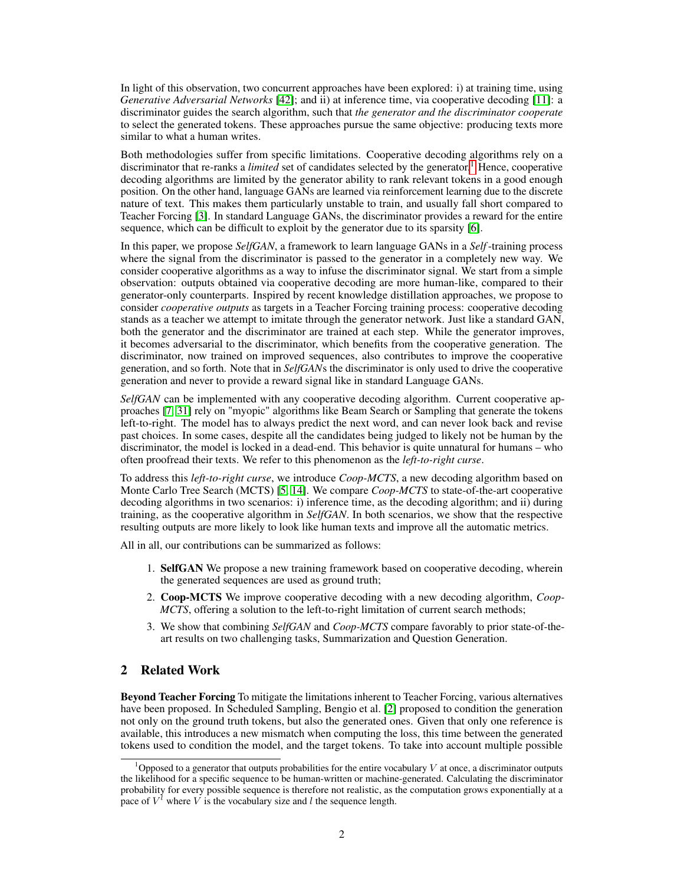In light of this observation, two concurrent approaches have been explored: i) at training time, using *Generative Adversarial Networks* [\[42\]](#page-12-2); and ii) at inference time, via cooperative decoding [\[11\]](#page-10-4): a discriminator guides the search algorithm, such that *the generator and the discriminator cooperate* to select the generated tokens. These approaches pursue the same objective: producing texts more similar to what a human writes.

Both methodologies suffer from specific limitations. Cooperative decoding algorithms rely on a discriminator that re-ranks a *limited* set of candidates selected by the generator.[1](#page-1-0) Hence, cooperative decoding algorithms are limited by the generator ability to rank relevant tokens in a good enough position. On the other hand, language GANs are learned via reinforcement learning due to the discrete nature of text. This makes them particularly unstable to train, and usually fall short compared to Teacher Forcing [\[3\]](#page-10-3). In standard Language GANs, the discriminator provides a reward for the entire sequence, which can be difficult to exploit by the generator due to its sparsity [\[6\]](#page-10-5).

In this paper, we propose *SelfGAN*, a framework to learn language GANs in a *Self*-training process where the signal from the discriminator is passed to the generator in a completely new way. We consider cooperative algorithms as a way to infuse the discriminator signal. We start from a simple observation: outputs obtained via cooperative decoding are more human-like, compared to their generator-only counterparts. Inspired by recent knowledge distillation approaches, we propose to consider *cooperative outputs* as targets in a Teacher Forcing training process: cooperative decoding stands as a teacher we attempt to imitate through the generator network. Just like a standard GAN, both the generator and the discriminator are trained at each step. While the generator improves, it becomes adversarial to the discriminator, which benefits from the cooperative generation. The discriminator, now trained on improved sequences, also contributes to improve the cooperative generation, and so forth. Note that in *SelfGAN*s the discriminator is only used to drive the cooperative generation and never to provide a reward signal like in standard Language GANs.

*SelfGAN* can be implemented with any cooperative decoding algorithm. Current cooperative approaches [\[7,](#page-10-6) [31\]](#page-11-4) rely on "myopic" algorithms like Beam Search or Sampling that generate the tokens left-to-right. The model has to always predict the next word, and can never look back and revise past choices. In some cases, despite all the candidates being judged to likely not be human by the discriminator, the model is locked in a dead-end. This behavior is quite unnatural for humans – who often proofread their texts. We refer to this phenomenon as the *left-to-right curse*.

To address this *left-to-right curse*, we introduce *Coop-MCTS*, a new decoding algorithm based on Monte Carlo Tree Search (MCTS) [\[5,](#page-10-7) [14\]](#page-10-8). We compare *Coop-MCTS* to state-of-the-art cooperative decoding algorithms in two scenarios: i) inference time, as the decoding algorithm; and ii) during training, as the cooperative algorithm in *SelfGAN*. In both scenarios, we show that the respective resulting outputs are more likely to look like human texts and improve all the automatic metrics.

All in all, our contributions can be summarized as follows:

- 1. SelfGAN We propose a new training framework based on cooperative decoding, wherein the generated sequences are used as ground truth;
- 2. Coop-MCTS We improve cooperative decoding with a new decoding algorithm, *Coop-MCTS*, offering a solution to the left-to-right limitation of current search methods;
- 3. We show that combining *SelfGAN* and *Coop-MCTS* compare favorably to prior state-of-theart results on two challenging tasks, Summarization and Question Generation.

## 2 Related Work

Beyond Teacher Forcing To mitigate the limitations inherent to Teacher Forcing, various alternatives have been proposed. In Scheduled Sampling, Bengio et al. [\[2\]](#page-9-0) proposed to condition the generation not only on the ground truth tokens, but also the generated ones. Given that only one reference is available, this introduces a new mismatch when computing the loss, this time between the generated tokens used to condition the model, and the target tokens. To take into account multiple possible

<span id="page-1-0"></span><sup>&</sup>lt;sup>1</sup>Opposed to a generator that outputs probabilities for the entire vocabulary V at once, a discriminator outputs the likelihood for a specific sequence to be human-written or machine-generated. Calculating the discriminator probability for every possible sequence is therefore not realistic, as the computation grows exponentially at a pace of  $V^l$  where V is the vocabulary size and l the sequence length.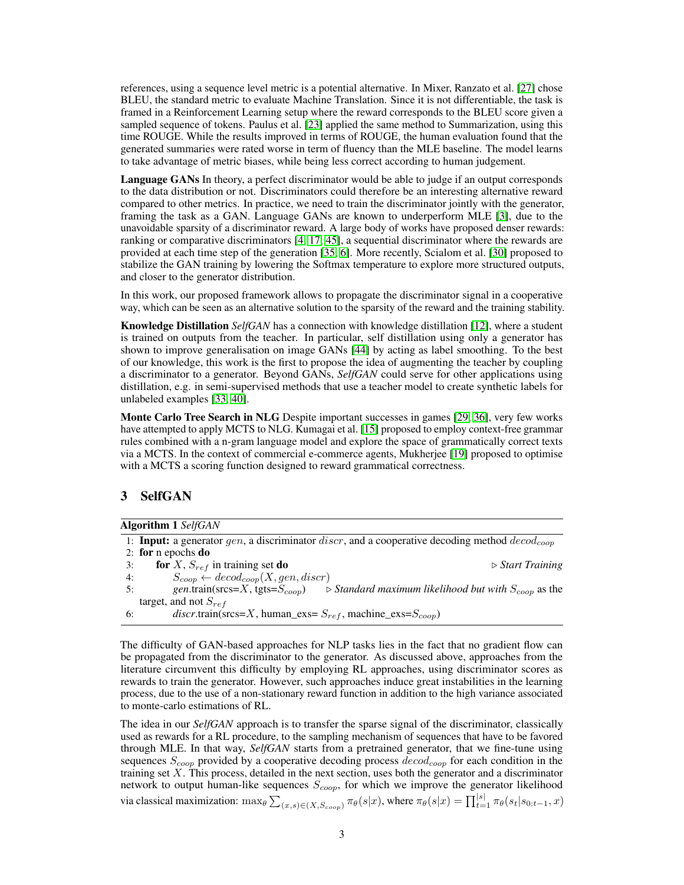references, using a sequence level metric is a potential alternative. In Mixer, Ranzato et al. [\[27\]](#page-11-1) chose BLEU, the standard metric to evaluate Machine Translation. Since it is not differentiable, the task is framed in a Reinforcement Learning setup where the reward corresponds to the BLEU score given a sampled sequence of tokens. Paulus et al. [\[23\]](#page-11-3) applied the same method to Summarization, using this time ROUGE. While the results improved in terms of ROUGE, the human evaluation found that the generated summaries were rated worse in term of fluency than the MLE baseline. The model learns to take advantage of metric biases, while being less correct according to human judgement.

Language GANs In theory, a perfect discriminator would be able to judge if an output corresponds to the data distribution or not. Discriminators could therefore be an interesting alternative reward compared to other metrics. In practice, we need to train the discriminator jointly with the generator, framing the task as a GAN. Language GANs are known to underperform MLE [\[3\]](#page-10-3), due to the unavoidable sparsity of a discriminator reward. A large body of works have proposed denser rewards: ranking or comparative discriminators [\[4,](#page-10-9) [17,](#page-10-10) [45\]](#page-12-3), a sequential discriminator where the rewards are provided at each time step of the generation [\[35,](#page-11-5) [6\]](#page-10-5). More recently, Scialom et al. [\[30\]](#page-11-6) proposed to stabilize the GAN training by lowering the Softmax temperature to explore more structured outputs, and closer to the generator distribution.

In this work, our proposed framework allows to propagate the discriminator signal in a cooperative way, which can be seen as an alternative solution to the sparsity of the reward and the training stability.

Knowledge Distillation *SelfGAN* has a connection with knowledge distillation [\[12\]](#page-10-11), where a student is trained on outputs from the teacher. In particular, self distillation using only a generator has shown to improve generalisation on image GANs [\[44\]](#page-12-4) by acting as label smoothing. To the best of our knowledge, this work is the first to propose the idea of augmenting the teacher by coupling a discriminator to a generator. Beyond GANs, *SelfGAN* could serve for other applications using distillation, e.g. in semi-supervised methods that use a teacher model to create synthetic labels for unlabeled examples [\[33,](#page-11-7) [40\]](#page-11-8).

Monte Carlo Tree Search in NLG Despite important successes in games [\[29,](#page-11-9) [36\]](#page-11-10), very few works have attempted to apply MCTS to NLG. Kumagai et al. [\[15\]](#page-10-12) proposed to employ context-free grammar rules combined with a n-gram language model and explore the space of grammatically correct texts via a MCTS. In the context of commercial e-commerce agents, Mukherjee [\[19\]](#page-10-13) proposed to optimise with a MCTS a scoring function designed to reward grammatical correctness.

# 3 SelfGAN

<span id="page-2-0"></span>1: Input: a generator gen, a discriminator  $discr$ , and a cooperative decoding method  $decod_{coop}$ 2: for n epochs do 3: **for**  $X$ ,  $S_{ref}$  in training set **do** .  $\triangleright$  *Start Training* 4:  $S_{coop} \leftarrow decod_{coop}(X,gen,diser)$ 5: *gen*.train(srcs=X, tgts= $S_{coop}$ )  $\Rightarrow$  Standard maximum likelihood but with  $S_{coop}$  as the target, and not  $S_{ref}$ 6: *discr.train(srcs=X, human\_exs=*  $S_{ref}$ *, machine\_exs=* $S_{coop}$ *)* 

The difficulty of GAN-based approaches for NLP tasks lies in the fact that no gradient flow can be propagated from the discriminator to the generator. As discussed above, approaches from the literature circumvent this difficulty by employing RL approaches, using discriminator scores as rewards to train the generator. However, such approaches induce great instabilities in the learning process, due to the use of a non-stationary reward function in addition to the high variance associated to monte-carlo estimations of RL.

The idea in our *SelfGAN* approach is to transfer the sparse signal of the discriminator, classically used as rewards for a RL procedure, to the sampling mechanism of sequences that have to be favored through MLE. In that way, *SelfGAN* starts from a pretrained generator, that we fine-tune using sequences  $S_{coop}$  provided by a cooperative decoding process  $\text{decod}_{coop}$  for each condition in the training set  $X$ . This process, detailed in the next section, uses both the generator and a discriminator network to output human-like sequences  $S_{coop}$ , for which we improve the generator likelihood via classical maximization:  $\max_{\theta} \sum_{(x,s) \in (X,S_{coop})} \pi_{\theta}(s|x)$ , where  $\pi_{\theta}(s|x) = \prod_{t=1}^{|s|} \pi_{\theta}(s_t|s_{0:t-1}, x)$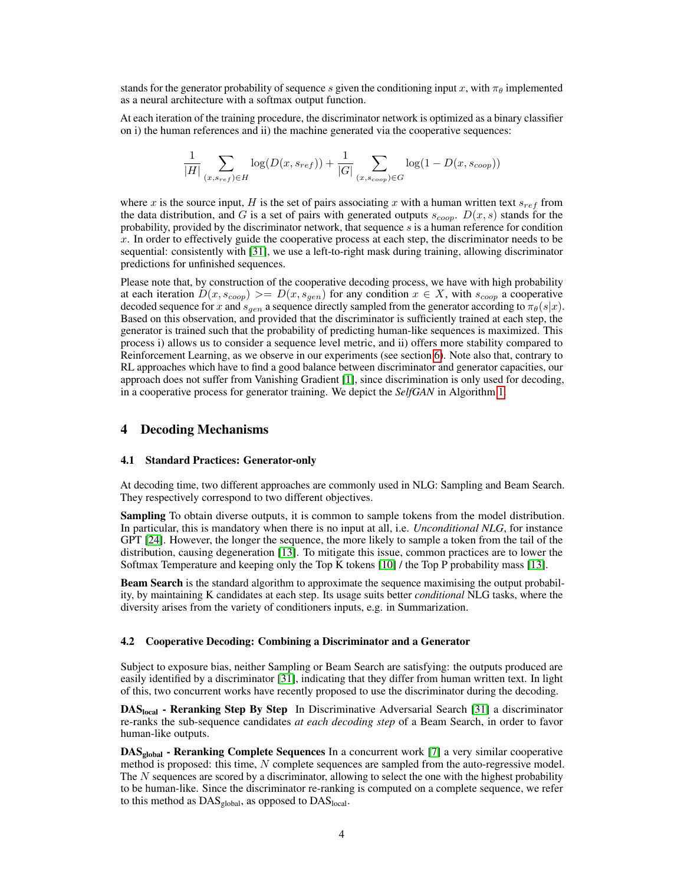stands for the generator probability of sequence s given the conditioning input x, with  $\pi_{\theta}$  implemented as a neural architecture with a softmax output function.

At each iteration of the training procedure, the discriminator network is optimized as a binary classifier on i) the human references and ii) the machine generated via the cooperative sequences:

$$
\frac{1}{|H|} \sum_{(x, s_{ref}) \in H} \log(D(x, s_{ref})) + \frac{1}{|G|} \sum_{(x, s_{coop}) \in G} \log(1 - D(x, s_{coop}))
$$

where x is the source input, H is the set of pairs associating x with a human written text  $s_{ref}$  from the data distribution, and G is a set of pairs with generated outputs  $s_{coop}$ .  $D(x, s)$  stands for the probability, provided by the discriminator network, that sequence  $s$  is a human reference for condition  $x$ . In order to effectively guide the cooperative process at each step, the discriminator needs to be sequential: consistently with [\[31\]](#page-11-4), we use a left-to-right mask during training, allowing discriminator predictions for unfinished sequences.

Please note that, by construction of the cooperative decoding process, we have with high probability at each iteration  $D(x, s_{coop}) \geq D(x, s_{gen})$  for any condition  $x \in X$ , with  $s_{coop}$  a cooperative decoded sequence for x and  $s_{gen}$  a sequence directly sampled from the generator according to  $\pi_{\theta}(s|x)$ . Based on this observation, and provided that the discriminator is sufficiently trained at each step, the generator is trained such that the probability of predicting human-like sequences is maximized. This process i) allows us to consider a sequence level metric, and ii) offers more stability compared to Reinforcement Learning, as we observe in our experiments (see section [6\)](#page-5-0). Note also that, contrary to RL approaches which have to find a good balance between discriminator and generator capacities, our approach does not suffer from Vanishing Gradient [\[1\]](#page-9-1), since discrimination is only used for decoding, in a cooperative process for generator training. We depict the *SelfGAN* in Algorithm [1.](#page-2-0)

#### <span id="page-3-0"></span>4 Decoding Mechanisms

#### 4.1 Standard Practices: Generator-only

At decoding time, two different approaches are commonly used in NLG: Sampling and Beam Search. They respectively correspond to two different objectives.

Sampling To obtain diverse outputs, it is common to sample tokens from the model distribution. In particular, this is mandatory when there is no input at all, i.e. *Unconditional NLG*, for instance GPT [\[24\]](#page-11-11). However, the longer the sequence, the more likely to sample a token from the tail of the distribution, causing degeneration [\[13\]](#page-10-0). To mitigate this issue, common practices are to lower the Softmax Temperature and keeping only the Top K tokens [\[10\]](#page-10-14) / the Top P probability mass [\[13\]](#page-10-0).

Beam Search is the standard algorithm to approximate the sequence maximising the output probability, by maintaining K candidates at each step. Its usage suits better *conditional* NLG tasks, where the diversity arises from the variety of conditioners inputs, e.g. in Summarization.

#### 4.2 Cooperative Decoding: Combining a Discriminator and a Generator

Subject to exposure bias, neither Sampling or Beam Search are satisfying: the outputs produced are easily identified by a discriminator [\[31\]](#page-11-4), indicating that they differ from human written text. In light of this, two concurrent works have recently proposed to use the discriminator during the decoding.

DASlocal - Reranking Step By Step In Discriminative Adversarial Search [\[31\]](#page-11-4) a discriminator re-ranks the sub-sequence candidates *at each decoding step* of a Beam Search, in order to favor human-like outputs.

DAS<sub>global</sub> - Reranking Complete Sequences In a concurrent work [\[7\]](#page-10-6) a very similar cooperative method is proposed: this time, N complete sequences are sampled from the auto-regressive model. The N sequences are scored by a discriminator, allowing to select the one with the highest probability to be human-like. Since the discriminator re-ranking is computed on a complete sequence, we refer to this method as  $DAS_{global}$ , as opposed to  $DAS_{local}$ .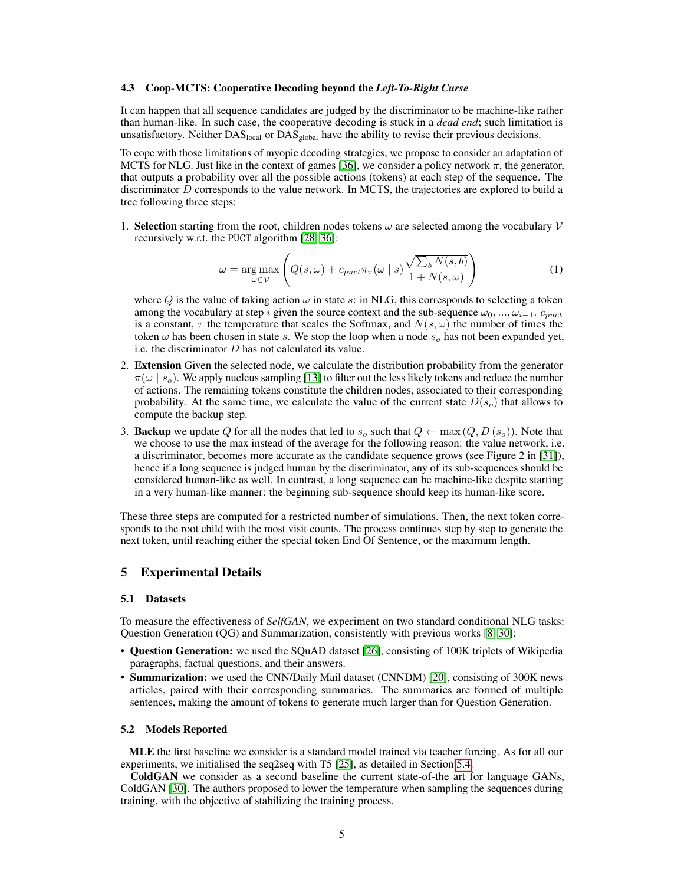#### 4.3 Coop-MCTS: Cooperative Decoding beyond the *Left-To-Right Curse*

It can happen that all sequence candidates are judged by the discriminator to be machine-like rather than human-like. In such case, the cooperative decoding is stuck in a *dead end*; such limitation is unsatisfactory. Neither  $DAS<sub>local</sub>$  or  $DAS<sub>global</sub>$  have the ability to revise their previous decisions.

To cope with those limitations of myopic decoding strategies, we propose to consider an adaptation of MCTS for NLG. Just like in the context of games [\[36\]](#page-11-10), we consider a policy network  $\pi$ , the generator, that outputs a probability over all the possible actions (tokens) at each step of the sequence. The discriminator D corresponds to the value network. In MCTS, the trajectories are explored to build a tree following three steps:

1. Selection starting from the root, children nodes tokens  $\omega$  are selected among the vocabulary  $\mathcal V$ recursively w.r.t. the PUCT algorithm [\[28,](#page-11-12) [36\]](#page-11-10):

$$
\omega = \underset{\omega \in \mathcal{V}}{\arg \max} \left( Q(s, \omega) + c_{puct} \pi_{\tau}(\omega \mid s) \frac{\sqrt{\sum_{b} N(s, b)}}{1 + N(s, \omega)} \right) \tag{1}
$$

where Q is the value of taking action  $\omega$  in state s: in NLG, this corresponds to selecting a token among the vocabulary at step i given the source context and the sub-sequence  $\omega_0, ..., \omega_{i-1}$ .  $c_{puct}$ is a constant,  $\tau$  the temperature that scales the Softmax, and  $N(s, \omega)$  the number of times the token  $\omega$  has been chosen in state s. We stop the loop when a node  $s_o$  has not been expanded yet, i.e. the discriminator  $D$  has not calculated its value.

- 2. Extension Given the selected node, we calculate the distribution probability from the generator  $\pi(\omega \mid s_o)$ . We apply nucleus sampling [\[13\]](#page-10-0) to filter out the less likely tokens and reduce the number of actions. The remaining tokens constitute the children nodes, associated to their corresponding probability. At the same time, we calculate the value of the current state  $D(s_0)$  that allows to compute the backup step.
- 3. **Backup** we update Q for all the nodes that led to  $s_o$  such that  $Q \leftarrow \max(Q, D(s_o))$ . Note that we choose to use the max instead of the average for the following reason: the value network, i.e. a discriminator, becomes more accurate as the candidate sequence grows (see Figure 2 in [\[31\]](#page-11-4)), hence if a long sequence is judged human by the discriminator, any of its sub-sequences should be considered human-like as well. In contrast, a long sequence can be machine-like despite starting in a very human-like manner: the beginning sub-sequence should keep its human-like score.

These three steps are computed for a restricted number of simulations. Then, the next token corresponds to the root child with the most visit counts. The process continues step by step to generate the next token, until reaching either the special token End Of Sentence, or the maximum length.

#### 5 Experimental Details

#### 5.1 Datasets

To measure the effectiveness of *SelfGAN*, we experiment on two standard conditional NLG tasks: Question Generation (QG) and Summarization, consistently with previous works [\[8,](#page-10-15) [30\]](#page-11-6):

- Question Generation: we used the SQuAD dataset [\[26\]](#page-11-13), consisting of 100K triplets of Wikipedia paragraphs, factual questions, and their answers.
- Summarization: we used the CNN/Daily Mail dataset (CNNDM) [\[20\]](#page-10-16), consisting of 300K news articles, paired with their corresponding summaries. The summaries are formed of multiple sentences, making the amount of tokens to generate much larger than for Question Generation.

#### 5.2 Models Reported

MLE the first baseline we consider is a standard model trained via teacher forcing. As for all our experiments, we initialised the seq2seq with T5 [\[25\]](#page-11-14), as detailed in Section [5.4.](#page-5-1)

ColdGAN we consider as a second baseline the current state-of-the art for language GANs, ColdGAN [\[30\]](#page-11-6). The authors proposed to lower the temperature when sampling the sequences during training, with the objective of stabilizing the training process.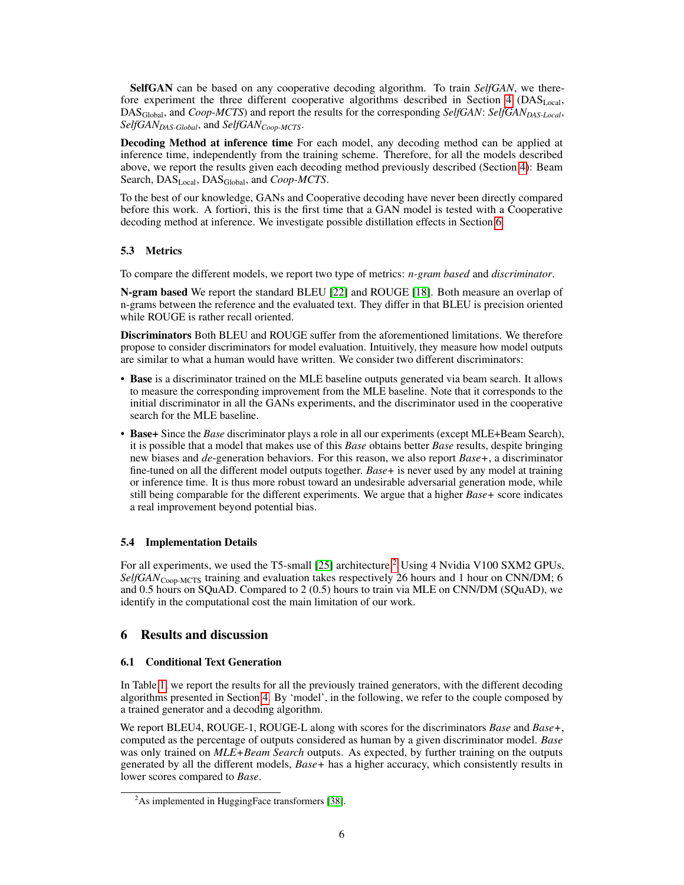SelfGAN can be based on any cooperative decoding algorithm. To train *SelfGAN*, we there-fore experiment the three different cooperative algorithms described in Section [4](#page-3-0) (DAS $_{\text{Local}}$ , DASGlobal, and *Coop-MCTS*) and report the results for the corresponding *SelfGAN*: *SelfGANDAS-Local*, *SelfGANDAS-Global*, and *SelfGANCoop-MCTS*.

Decoding Method at inference time For each model, any decoding method can be applied at inference time, independently from the training scheme. Therefore, for all the models described above, we report the results given each decoding method previously described (Section [4\)](#page-3-0): Beam Search, DAS<sub>Local</sub>, DAS<sub>Global</sub>, and *Coop-MCTS*.

To the best of our knowledge, GANs and Cooperative decoding have never been directly compared before this work. A fortiori, this is the first time that a GAN model is tested with a Cooperative decoding method at inference. We investigate possible distillation effects in Section [6.](#page-5-0)

## <span id="page-5-3"></span>5.3 Metrics

To compare the different models, we report two type of metrics: *n-gram based* and *discriminator*.

N-gram based We report the standard BLEU [\[22\]](#page-11-15) and ROUGE [\[18\]](#page-10-17). Both measure an overlap of n-grams between the reference and the evaluated text. They differ in that BLEU is precision oriented while ROUGE is rather recall oriented.

Discriminators Both BLEU and ROUGE suffer from the aforementioned limitations. We therefore propose to consider discriminators for model evaluation. Intuitively, they measure how model outputs are similar to what a human would have written. We consider two different discriminators:

- Base is a discriminator trained on the MLE baseline outputs generated via beam search. It allows to measure the corresponding improvement from the MLE baseline. Note that it corresponds to the initial discriminator in all the GANs experiments, and the discriminator used in the cooperative search for the MLE baseline.
- Base+ Since the *Base* discriminator plays a role in all our experiments (except MLE+Beam Search), it is possible that a model that makes use of this *Base* obtains better *Base* results, despite bringing new biases and *de*-generation behaviors. For this reason, we also report *Base+*, a discriminator fine-tuned on all the different model outputs together. *Base+* is never used by any model at training or inference time. It is thus more robust toward an undesirable adversarial generation mode, while still being comparable for the different experiments. We argue that a higher *Base+* score indicates a real improvement beyond potential bias.

## <span id="page-5-1"></span>5.4 Implementation Details

For all experiments, we used the T5-small [\[25\]](#page-11-14) architecture.<sup>[2](#page-5-2)</sup> Using 4 Nvidia V100 SXM2 GPUs, SelfGAN<sub>Coop-MCTS</sub> training and evaluation takes respectively 26 hours and 1 hour on CNN/DM; 6 and 0.5 hours on SQuAD. Compared to 2 (0.5) hours to train via MLE on CNN/DM (SQuAD), we identify in the computational cost the main limitation of our work.

# <span id="page-5-0"></span>6 Results and discussion

#### 6.1 Conditional Text Generation

In Table [1,](#page-6-0) we report the results for all the previously trained generators, with the different decoding algorithms presented in Section [4.](#page-3-0) By 'model', in the following, we refer to the couple composed by a trained generator and a decoding algorithm.

We report BLEU4, ROUGE-1, ROUGE-L along with scores for the discriminators *Base* and *Base+*, computed as the percentage of outputs considered as human by a given discriminator model. *Base* was only trained on *MLE+Beam Search* outputs. As expected, by further training on the outputs generated by all the different models, *Base+* has a higher accuracy, which consistently results in lower scores compared to *Base*.

<span id="page-5-2"></span> $2$ As implemented in HuggingFace transformers [\[38\]](#page-11-16).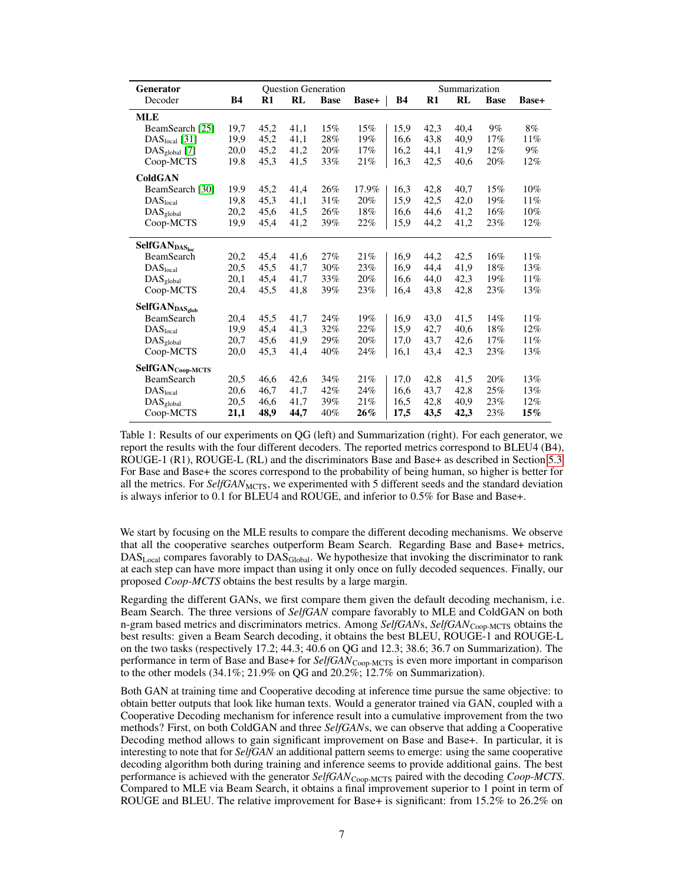<span id="page-6-0"></span>

| Generator                             | <b>Question Generation</b> |      |      | Summarization |        |           |               |      |             |        |
|---------------------------------------|----------------------------|------|------|---------------|--------|-----------|---------------|------|-------------|--------|
| Decoder                               | <b>B4</b>                  | $R1$ | RL   | <b>Base</b>   | Base+  | <b>B4</b> | $\mathbf{R}1$ | RL   | <b>Base</b> | Base+  |
| <b>MLE</b>                            |                            |      |      |               |        |           |               |      |             |        |
| BeamSearch [25]                       | 19,7                       | 45,2 | 41,1 | 15%           | 15%    | 15,9      | 42,3          | 40,4 | $9\%$       | 8%     |
| $DASlocal$ [31]                       | 19,9                       | 45.2 | 41,1 | 28%           | 19%    | 16.6      | 43,8          | 40.9 | 17%         | 11%    |
| $\text{DAS}_{\text{global}}$ [7]      | 20,0                       | 45,2 | 41,2 | 20%           | 17%    | 16,2      | 44,1          | 41,9 | 12%         | 9%     |
| Coop-MCTS                             | 19.8                       | 45,3 | 41,5 | 33%           | 21%    | 16,3      | 42,5          | 40,6 | 20%         | 12%    |
| <b>ColdGAN</b>                        |                            |      |      |               |        |           |               |      |             |        |
| BeamSearch [30]                       | 19.9                       | 45,2 | 41,4 | 26%           | 17.9%  | 16,3      | 42,8          | 40,7 | 15%         | $10\%$ |
| DAS <sub>local</sub>                  | 19,8                       | 45,3 | 41,1 | 31%           | 20%    | 15,9      | 42,5          | 42,0 | 19%         | 11%    |
| $\mathrm{DAS}_{\text{global}}$        | 20,2                       | 45,6 | 41,5 | 26%           | 18%    | 16,6      | 44,6          | 41,2 | 16%         | 10%    |
| Coop-MCTS                             | 19,9                       | 45.4 | 41,2 | 39%           | 22%    | 15,9      | 44.2          | 41,2 | 23%         | 12%    |
| SelfGANDASloc                         |                            |      |      |               |        |           |               |      |             |        |
| BeamSearch                            | 20,2                       | 45,4 | 41,6 | 27%           | 21%    | 16,9      | 44,2          | 42,5 | 16%         | 11%    |
| DAS <sub>local</sub>                  | 20,5                       | 45.5 | 41.7 | 30%           | 23%    | 16.9      | 44.4          | 41.9 | 18%         | 13%    |
| $\rm DAS_{global}$                    | 20,1                       | 45,4 | 41,7 | 33%           | 20%    | 16,6      | 44,0          | 42,3 | 19%         | 11%    |
| Coop-MCTS                             | 20,4                       | 45,5 | 41,8 | 39%           | 23%    | 16,4      | 43,8          | 42,8 | 23%         | 13%    |
| SelfGANDAS <sub>glob</sub>            |                            |      |      |               |        |           |               |      |             |        |
| BeamSearch                            | 20,4                       | 45,5 | 41,7 | 24%           | 19%    | 16,9      | 43,0          | 41,5 | 14%         | 11%    |
| DAS <sub>local</sub>                  | 19,9                       | 45,4 | 41,3 | 32%           | 22%    | 15,9      | 42,7          | 40,6 | 18%         | 12%    |
| DAS <sub>global</sub>                 | 20,7                       | 45.6 | 41,9 | 29%           | 20%    | 17.0      | 43.7          | 42,6 | 17%         | 11%    |
| Coop-MCTS                             | 20,0                       | 45,3 | 41,4 | 40%           | 24%    | 16,1      | 43,4          | 42,3 | 23%         | 13%    |
| $\textbf{SelfGAN}_{Coop\text{-}MCTS}$ |                            |      |      |               |        |           |               |      |             |        |
| BeamSearch                            | 20,5                       | 46,6 | 42,6 | 34%           | 21%    | 17,0      | 42,8          | 41.5 | 20%         | 13%    |
| DAS <sub>local</sub>                  | 20,6                       | 46,7 | 41,7 | 42%           | 24%    | 16,6      | 43,7          | 42,8 | 25%         | 13%    |
| DAS <sub>global</sub>                 | 20,5                       | 46,6 | 41,7 | 39%           | 21%    | 16,5      | 42,8          | 40,9 | 23%         | 12%    |
| Coop-MCTS                             | 21,1                       | 48,9 | 44,7 | 40%           | $26\%$ | 17,5      | 43,5          | 42,3 | 23%         | $15\%$ |

Table 1: Results of our experiments on QG (left) and Summarization (right). For each generator, we report the results with the four different decoders. The reported metrics correspond to BLEU4 (B4), ROUGE-1 (R1), ROUGE-L (RL) and the discriminators Base and Base+ as described in Section [5.3.](#page-5-3) For Base and Base+ the scores correspond to the probability of being human, so higher is better for all the metrics. For *SelfGAN*<sub>MCTS</sub>, we experimented with 5 different seeds and the standard deviation is always inferior to 0.1 for BLEU4 and ROUGE, and inferior to 0.5% for Base and Base+.

We start by focusing on the MLE results to compare the different decoding mechanisms. We observe that all the cooperative searches outperform Beam Search. Regarding Base and Base+ metrics,  $\text{DAS}_{\text{Local}}$  compares favorably to  $\text{DAS}_{\text{Global}}$ . We hypothesize that invoking the discriminator to rank at each step can have more impact than using it only once on fully decoded sequences. Finally, our proposed *Coop-MCTS* obtains the best results by a large margin.

Regarding the different GANs, we first compare them given the default decoding mechanism, i.e. Beam Search. The three versions of *SelfGAN* compare favorably to MLE and ColdGAN on both n-gram based metrics and discriminators metrics. Among *SelfGAN*s, *SelfGAN*<sub>Coop-MCTS</sub> obtains the best results: given a Beam Search decoding, it obtains the best BLEU, ROUGE-1 and ROUGE-L on the two tasks (respectively 17.2; 44.3; 40.6 on QG and 12.3; 38.6; 36.7 on Summarization). The performance in term of Base and Base+ for *SelfGAN*<sub>Coop-MCTS</sub> is even more important in comparison to the other models (34.1%; 21.9% on QG and 20.2%; 12.7% on Summarization).

Both GAN at training time and Cooperative decoding at inference time pursue the same objective: to obtain better outputs that look like human texts. Would a generator trained via GAN, coupled with a Cooperative Decoding mechanism for inference result into a cumulative improvement from the two methods? First, on both ColdGAN and three *SelfGAN*s, we can observe that adding a Cooperative Decoding method allows to gain significant improvement on Base and Base+. In particular, it is interesting to note that for *SelfGAN* an additional pattern seems to emerge: using the same cooperative decoding algorithm both during training and inference seems to provide additional gains. The best performance is achieved with the generator *SelfGAN*Coop-MCTS paired with the decoding *Coop-MCTS*. Compared to MLE via Beam Search, it obtains a final improvement superior to 1 point in term of ROUGE and BLEU. The relative improvement for Base+ is significant: from 15.2% to 26.2% on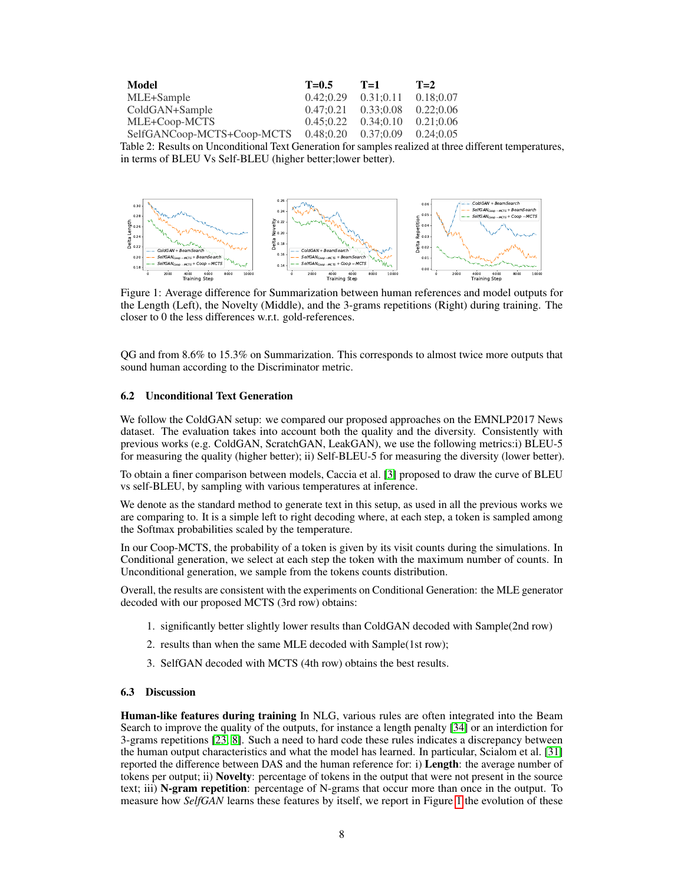| Model                                            | $T = 0.5$               | $T=1$     | $T=2$     |
|--------------------------------------------------|-------------------------|-----------|-----------|
| MLE+Sample                                       | $0.42:0.29$ $0.31:0.11$ |           | 0.18:0.07 |
| ColdGAN+Sample                                   | $0.47:0.21$ $0.33:0.08$ |           | 0.22:0.06 |
| MLE+Coop-MCTS                                    | 0.45:0.22               | 0.34:0.10 | 0.21:0.06 |
| $SelfGANCoop-MCTS+Coop-MCTS 0.48;0.20 0.37;0.09$ |                         |           | 0.24:0.05 |

Table 2: Results on Unconditional Text Generation for samples realized at three different temperatures, in terms of BLEU Vs Self-BLEU (higher better;lower better).



<span id="page-7-0"></span>Figure 1: Average difference for Summarization between human references and model outputs for the Length (Left), the Novelty (Middle), and the 3-grams repetitions (Right) during training. The closer to 0 the less differences w.r.t. gold-references.

QG and from 8.6% to 15.3% on Summarization. This corresponds to almost twice more outputs that sound human according to the Discriminator metric.

#### 6.2 Unconditional Text Generation

We follow the ColdGAN setup: we compared our proposed approaches on the EMNLP2017 News dataset. The evaluation takes into account both the quality and the diversity. Consistently with previous works (e.g. ColdGAN, ScratchGAN, LeakGAN), we use the following metrics:i) BLEU-5 for measuring the quality (higher better); ii) Self-BLEU-5 for measuring the diversity (lower better).

To obtain a finer comparison between models, Caccia et al. [\[3\]](#page-10-3) proposed to draw the curve of BLEU vs self-BLEU, by sampling with various temperatures at inference.

We denote as the standard method to generate text in this setup, as used in all the previous works we are comparing to. It is a simple left to right decoding where, at each step, a token is sampled among the Softmax probabilities scaled by the temperature.

In our Coop-MCTS, the probability of a token is given by its visit counts during the simulations. In Conditional generation, we select at each step the token with the maximum number of counts. In Unconditional generation, we sample from the tokens counts distribution.

Overall, the results are consistent with the experiments on Conditional Generation: the MLE generator decoded with our proposed MCTS (3rd row) obtains:

- 1. significantly better slightly lower results than ColdGAN decoded with Sample(2nd row)
- 2. results than when the same MLE decoded with Sample(1st row);
- 3. SelfGAN decoded with MCTS (4th row) obtains the best results.

#### 6.3 Discussion

Human-like features during training In NLG, various rules are often integrated into the Beam Search to improve the quality of the outputs, for instance a length penalty [\[34\]](#page-11-17) or an interdiction for 3-grams repetitions [\[23,](#page-11-3) [8\]](#page-10-15). Such a need to hard code these rules indicates a discrepancy between the human output characteristics and what the model has learned. In particular, Scialom et al. [\[31\]](#page-11-4) reported the difference between DAS and the human reference for: i) Length: the average number of tokens per output; ii) **Novelty**: percentage of tokens in the output that were not present in the source text; iii) N-gram repetition: percentage of N-grams that occur more than once in the output. To measure how *SelfGAN* learns these features by itself, we report in Figure [1](#page-7-0) the evolution of these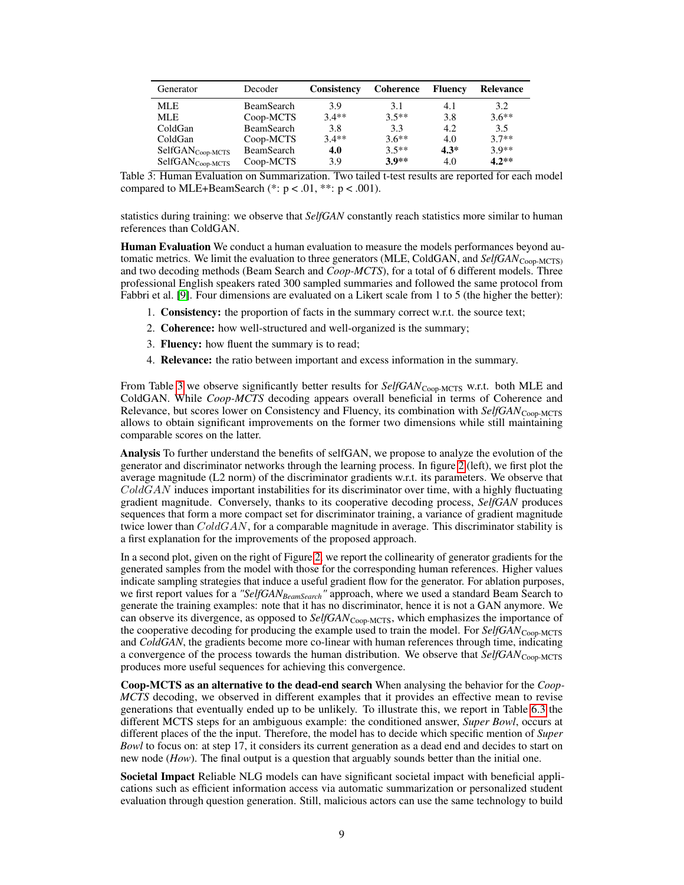<span id="page-8-0"></span>

| Generator                    | Decoder           | <b>Consistency</b> | Coherence | <b>Fluency</b> | Relevance |
|------------------------------|-------------------|--------------------|-----------|----------------|-----------|
| <b>MLE</b>                   | <b>BeamSearch</b> | 3.9                | 3.1       | 4.1            | 3.2       |
| MLE.                         | Coop-MCTS         | $3.4**$            | $3.5**$   | 3.8            | $3.6**$   |
| ColdGan                      | <b>BeamSearch</b> | 3.8                | 3.3       | 4.2            | 3.5       |
| ColdGan                      | Coop-MCTS         | $3.4**$            | $3.6**$   | 4.0            | $3.7**$   |
| SelfGAN <sub>Coop-MCTS</sub> | <b>BeamSearch</b> | 4.0                | $3.5**$   | $4.3*$         | $3.9**$   |
| SelfGAN <sub>Coop-MCTS</sub> | Coop-MCTS         | 3.9                | 3.9**     | 4.0            | $4.2**$   |

Table 3: Human Evaluation on Summarization. Two tailed t-test results are reported for each model compared to MLE+BeamSearch  $(*: p < .01, **: p < .001)$ .

statistics during training: we observe that *SelfGAN* constantly reach statistics more similar to human references than ColdGAN.

**Human Evaluation** We conduct a human evaluation to measure the models performances beyond automatic metrics. We limit the evaluation to three generators (MLE, ColdGAN, and *SelfGAN*<sub>Coop-MCTS)</sub> and two decoding methods (Beam Search and *Coop-MCTS*), for a total of 6 different models. Three professional English speakers rated 300 sampled summaries and followed the same protocol from Fabbri et al. [\[9\]](#page-10-18). Four dimensions are evaluated on a Likert scale from 1 to 5 (the higher the better):

- 1. Consistency: the proportion of facts in the summary correct w.r.t. the source text;
- 2. Coherence: how well-structured and well-organized is the summary;
- 3. Fluency: how fluent the summary is to read;
- 4. Relevance: the ratio between important and excess information in the summary.

From Table [3](#page-8-0) we observe significantly better results for SelfGAN<sub>Coop-MCTS</sub> w.r.t. both MLE and ColdGAN. While *Coop-MCTS* decoding appears overall beneficial in terms of Coherence and Relevance, but scores lower on Consistency and Fluency, its combination with *SelfGAN*<sub>Coop-MCTS</sub> allows to obtain significant improvements on the former two dimensions while still maintaining comparable scores on the latter.

Analysis To further understand the benefits of selfGAN, we propose to analyze the evolution of the generator and discriminator networks through the learning process. In figure [2](#page-9-2) (left), we first plot the average magnitude (L2 norm) of the discriminator gradients w.r.t. its parameters. We observe that  $ColdGAN$  induces important instabilities for its discriminator over time, with a highly fluctuating gradient magnitude. Conversely, thanks to its cooperative decoding process, *SelfGAN* produces sequences that form a more compact set for discriminator training, a variance of gradient magnitude twice lower than  $GoldGAN$ , for a comparable magnitude in average. This discriminator stability is a first explanation for the improvements of the proposed approach.

In a second plot, given on the right of Figure [2,](#page-9-2) we report the collinearity of generator gradients for the generated samples from the model with those for the corresponding human references. Higher values indicate sampling strategies that induce a useful gradient flow for the generator. For ablation purposes, we first report values for a *"SelfGANBeamSearch"* approach, where we used a standard Beam Search to generate the training examples: note that it has no discriminator, hence it is not a GAN anymore. We can observe its divergence, as opposed to *SelfGAN*Coop-MCTS, which emphasizes the importance of the cooperative decoding for producing the example used to train the model. For *SelfGAN*<sub>Coop-MCTS</sub> and *ColdGAN*, the gradients become more co-linear with human references through time, indicating a convergence of the process towards the human distribution. We observe that *SelfGAN*<sub>Coop-MCTS</sub> produces more useful sequences for achieving this convergence.

Coop-MCTS as an alternative to the dead-end search When analysing the behavior for the *Coop-MCTS* decoding, we observed in different examples that it provides an effective mean to revise generations that eventually ended up to be unlikely. To illustrate this, we report in Table [6.3](#page-9-2) the different MCTS steps for an ambiguous example: the conditioned answer, *Super Bowl*, occurs at different places of the the input. Therefore, the model has to decide which specific mention of *Super Bowl* to focus on: at step 17, it considers its current generation as a dead end and decides to start on new node (*How*). The final output is a question that arguably sounds better than the initial one.

Societal Impact Reliable NLG models can have significant societal impact with beneficial applications such as efficient information access via automatic summarization or personalized student evaluation through question generation. Still, malicious actors can use the same technology to build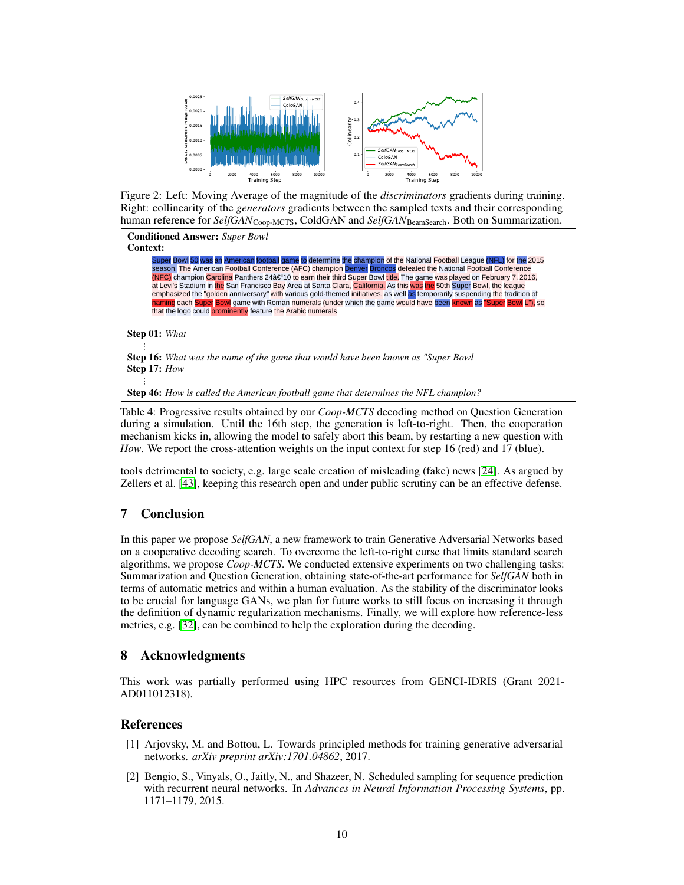

<span id="page-9-2"></span>Figure 2: Left: Moving Average of the magnitude of the *discriminators* gradients during training. Right: collinearity of the *generators* gradients between the sampled texts and their corresponding human reference for *SelfGAN*<sub>Coop-MCTS</sub>, ColdGAN and *SelfGAN*<sub>BeamSearch</sub>. Both on Summarization.

#### Conditioned Answer: *Super Bowl*

Context:

<mark>Super</mark> Bowl <mark>50 was an American football game</mark> to determine the champion of the National Football League <mark>(NFL)</mark> for the 2015<br>season. The American Football Conference (AFC) champion Denver Broncos defeated the National Fo (NFC) champion Carolina Panthers 24â€"10 to earn their third Super Bowl title. The game was played on February 7, 2016, at Levi's Stadium in the San Francisco Bay Area at Santa Clara, California. As this was the 50th Super Bowl, the league emphasized the "golden anniversary" with various gold-themed initiatives, as well as temporarily suspending the tradition of g each Super Bowl game with Roman numerals (under which the game would have been <mark>known</mark> as "Super Bowl L"), so that the logo could prominently feature the Arabic numerals

Step 01: *What*

...

...

Step 16: *What was the name of the game that would have been known as "Super Bowl* Step 17: *How*

Step 46: *How is called the American football game that determines the NFL champion?*

Table 4: Progressive results obtained by our *Coop-MCTS* decoding method on Question Generation during a simulation. Until the 16th step, the generation is left-to-right. Then, the cooperation mechanism kicks in, allowing the model to safely abort this beam, by restarting a new question with *How*. We report the cross-attention weights on the input context for step 16 (red) and 17 (blue).

tools detrimental to society, e.g. large scale creation of misleading (fake) news [\[24\]](#page-11-11). As argued by Zellers et al. [\[43\]](#page-12-1), keeping this research open and under public scrutiny can be an effective defense.

# 7 Conclusion

In this paper we propose *SelfGAN*, a new framework to train Generative Adversarial Networks based on a cooperative decoding search. To overcome the left-to-right curse that limits standard search algorithms, we propose *Coop-MCTS*. We conducted extensive experiments on two challenging tasks: Summarization and Question Generation, obtaining state-of-the-art performance for *SelfGAN* both in terms of automatic metrics and within a human evaluation. As the stability of the discriminator looks to be crucial for language GANs, we plan for future works to still focus on increasing it through the definition of dynamic regularization mechanisms. Finally, we will explore how reference-less metrics, e.g. [\[32\]](#page-11-18), can be combined to help the exploration during the decoding.

## 8 Acknowledgments

This work was partially performed using HPC resources from GENCI-IDRIS (Grant 2021- AD011012318).

## References

- <span id="page-9-1"></span>[1] Arjovsky, M. and Bottou, L. Towards principled methods for training generative adversarial networks. *arXiv preprint arXiv:1701.04862*, 2017.
- <span id="page-9-0"></span>[2] Bengio, S., Vinyals, O., Jaitly, N., and Shazeer, N. Scheduled sampling for sequence prediction with recurrent neural networks. In *Advances in Neural Information Processing Systems*, pp. 1171–1179, 2015.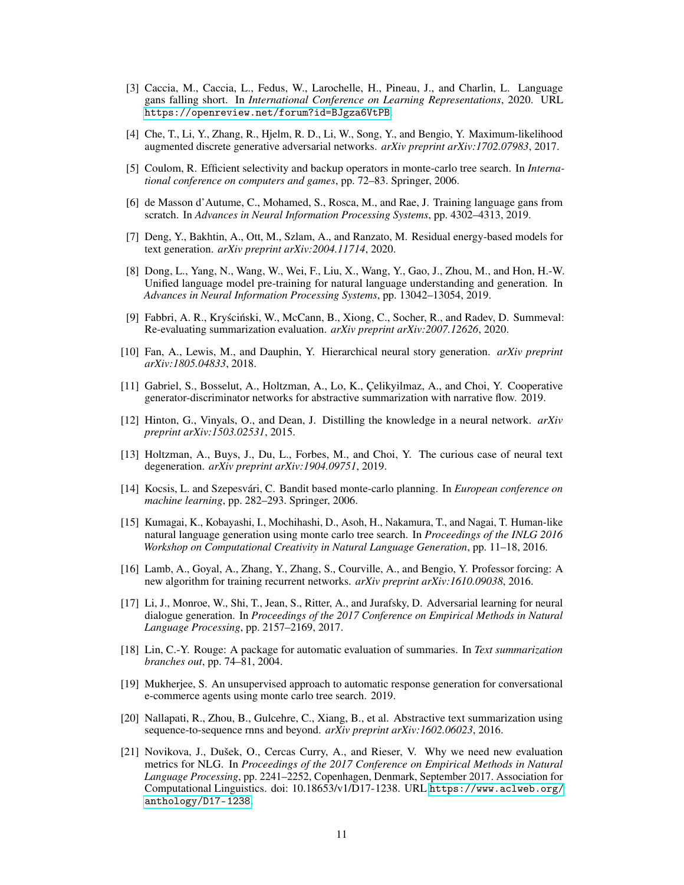- <span id="page-10-3"></span>[3] Caccia, M., Caccia, L., Fedus, W., Larochelle, H., Pineau, J., and Charlin, L. Language gans falling short. In *International Conference on Learning Representations*, 2020. URL <https://openreview.net/forum?id=BJgza6VtPB>.
- <span id="page-10-9"></span>[4] Che, T., Li, Y., Zhang, R., Hjelm, R. D., Li, W., Song, Y., and Bengio, Y. Maximum-likelihood augmented discrete generative adversarial networks. *arXiv preprint arXiv:1702.07983*, 2017.
- <span id="page-10-7"></span>[5] Coulom, R. Efficient selectivity and backup operators in monte-carlo tree search. In *International conference on computers and games*, pp. 72–83. Springer, 2006.
- <span id="page-10-5"></span>[6] de Masson d'Autume, C., Mohamed, S., Rosca, M., and Rae, J. Training language gans from scratch. In *Advances in Neural Information Processing Systems*, pp. 4302–4313, 2019.
- <span id="page-10-6"></span>[7] Deng, Y., Bakhtin, A., Ott, M., Szlam, A., and Ranzato, M. Residual energy-based models for text generation. *arXiv preprint arXiv:2004.11714*, 2020.
- <span id="page-10-15"></span>[8] Dong, L., Yang, N., Wang, W., Wei, F., Liu, X., Wang, Y., Gao, J., Zhou, M., and Hon, H.-W. Unified language model pre-training for natural language understanding and generation. In *Advances in Neural Information Processing Systems*, pp. 13042–13054, 2019.
- <span id="page-10-18"></span>[9] Fabbri, A. R., Kryściński, W., McCann, B., Xiong, C., Socher, R., and Radev, D. Summeval: Re-evaluating summarization evaluation. *arXiv preprint arXiv:2007.12626*, 2020.
- <span id="page-10-14"></span>[10] Fan, A., Lewis, M., and Dauphin, Y. Hierarchical neural story generation. *arXiv preprint arXiv:1805.04833*, 2018.
- <span id="page-10-4"></span>[11] Gabriel, S., Bosselut, A., Holtzman, A., Lo, K., Çelikyilmaz, A., and Choi, Y. Cooperative generator-discriminator networks for abstractive summarization with narrative flow. 2019.
- <span id="page-10-11"></span>[12] Hinton, G., Vinyals, O., and Dean, J. Distilling the knowledge in a neural network. *arXiv preprint arXiv:1503.02531*, 2015.
- <span id="page-10-0"></span>[13] Holtzman, A., Buys, J., Du, L., Forbes, M., and Choi, Y. The curious case of neural text degeneration. *arXiv preprint arXiv:1904.09751*, 2019.
- <span id="page-10-8"></span>[14] Kocsis, L. and Szepesvári, C. Bandit based monte-carlo planning. In *European conference on machine learning*, pp. 282–293. Springer, 2006.
- <span id="page-10-12"></span>[15] Kumagai, K., Kobayashi, I., Mochihashi, D., Asoh, H., Nakamura, T., and Nagai, T. Human-like natural language generation using monte carlo tree search. In *Proceedings of the INLG 2016 Workshop on Computational Creativity in Natural Language Generation*, pp. 11–18, 2016.
- <span id="page-10-1"></span>[16] Lamb, A., Goyal, A., Zhang, Y., Zhang, S., Courville, A., and Bengio, Y. Professor forcing: A new algorithm for training recurrent networks. *arXiv preprint arXiv:1610.09038*, 2016.
- <span id="page-10-10"></span>[17] Li, J., Monroe, W., Shi, T., Jean, S., Ritter, A., and Jurafsky, D. Adversarial learning for neural dialogue generation. In *Proceedings of the 2017 Conference on Empirical Methods in Natural Language Processing*, pp. 2157–2169, 2017.
- <span id="page-10-17"></span>[18] Lin, C.-Y. Rouge: A package for automatic evaluation of summaries. In *Text summarization branches out*, pp. 74–81, 2004.
- <span id="page-10-13"></span>[19] Mukherjee, S. An unsupervised approach to automatic response generation for conversational e-commerce agents using monte carlo tree search. 2019.
- <span id="page-10-16"></span>[20] Nallapati, R., Zhou, B., Gulcehre, C., Xiang, B., et al. Abstractive text summarization using sequence-to-sequence rnns and beyond. *arXiv preprint arXiv:1602.06023*, 2016.
- <span id="page-10-2"></span>[21] Novikova, J., Dušek, O., Cercas Curry, A., and Rieser, V. Why we need new evaluation metrics for NLG. In *Proceedings of the 2017 Conference on Empirical Methods in Natural Language Processing*, pp. 2241–2252, Copenhagen, Denmark, September 2017. Association for Computational Linguistics. doi: 10.18653/v1/D17-1238. URL [https://www.aclweb.org/](https://www.aclweb.org/anthology/D17-1238) [anthology/D17-1238](https://www.aclweb.org/anthology/D17-1238).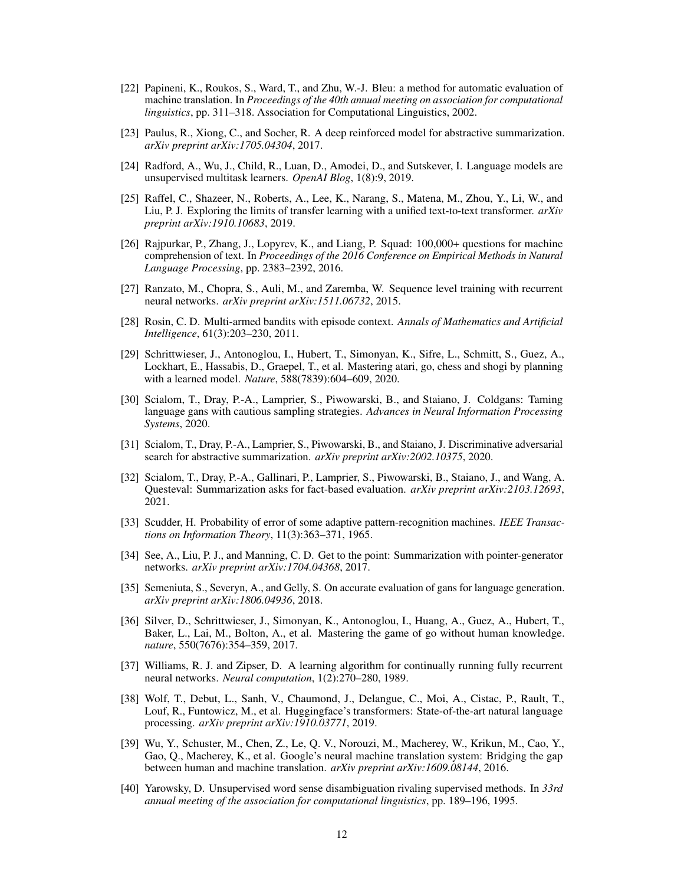- <span id="page-11-15"></span>[22] Papineni, K., Roukos, S., Ward, T., and Zhu, W.-J. Bleu: a method for automatic evaluation of machine translation. In *Proceedings of the 40th annual meeting on association for computational linguistics*, pp. 311–318. Association for Computational Linguistics, 2002.
- <span id="page-11-3"></span>[23] Paulus, R., Xiong, C., and Socher, R. A deep reinforced model for abstractive summarization. *arXiv preprint arXiv:1705.04304*, 2017.
- <span id="page-11-11"></span>[24] Radford, A., Wu, J., Child, R., Luan, D., Amodei, D., and Sutskever, I. Language models are unsupervised multitask learners. *OpenAI Blog*, 1(8):9, 2019.
- <span id="page-11-14"></span>[25] Raffel, C., Shazeer, N., Roberts, A., Lee, K., Narang, S., Matena, M., Zhou, Y., Li, W., and Liu, P. J. Exploring the limits of transfer learning with a unified text-to-text transformer. *arXiv preprint arXiv:1910.10683*, 2019.
- <span id="page-11-13"></span>[26] Rajpurkar, P., Zhang, J., Lopyrev, K., and Liang, P. Squad: 100,000+ questions for machine comprehension of text. In *Proceedings of the 2016 Conference on Empirical Methods in Natural Language Processing*, pp. 2383–2392, 2016.
- <span id="page-11-1"></span>[27] Ranzato, M., Chopra, S., Auli, M., and Zaremba, W. Sequence level training with recurrent neural networks. *arXiv preprint arXiv:1511.06732*, 2015.
- <span id="page-11-12"></span>[28] Rosin, C. D. Multi-armed bandits with episode context. *Annals of Mathematics and Artificial Intelligence*, 61(3):203–230, 2011.
- <span id="page-11-9"></span>[29] Schrittwieser, J., Antonoglou, I., Hubert, T., Simonyan, K., Sifre, L., Schmitt, S., Guez, A., Lockhart, E., Hassabis, D., Graepel, T., et al. Mastering atari, go, chess and shogi by planning with a learned model. *Nature*, 588(7839):604–609, 2020.
- <span id="page-11-6"></span>[30] Scialom, T., Dray, P.-A., Lamprier, S., Piwowarski, B., and Staiano, J. Coldgans: Taming language gans with cautious sampling strategies. *Advances in Neural Information Processing Systems*, 2020.
- <span id="page-11-4"></span>[31] Scialom, T., Dray, P.-A., Lamprier, S., Piwowarski, B., and Staiano, J. Discriminative adversarial search for abstractive summarization. *arXiv preprint arXiv:2002.10375*, 2020.
- <span id="page-11-18"></span>[32] Scialom, T., Dray, P.-A., Gallinari, P., Lamprier, S., Piwowarski, B., Staiano, J., and Wang, A. Questeval: Summarization asks for fact-based evaluation. *arXiv preprint arXiv:2103.12693*, 2021.
- <span id="page-11-7"></span>[33] Scudder, H. Probability of error of some adaptive pattern-recognition machines. *IEEE Transactions on Information Theory*, 11(3):363–371, 1965.
- <span id="page-11-17"></span>[34] See, A., Liu, P. J., and Manning, C. D. Get to the point: Summarization with pointer-generator networks. *arXiv preprint arXiv:1704.04368*, 2017.
- <span id="page-11-5"></span>[35] Semeniuta, S., Severyn, A., and Gelly, S. On accurate evaluation of gans for language generation. *arXiv preprint arXiv:1806.04936*, 2018.
- <span id="page-11-10"></span>[36] Silver, D., Schrittwieser, J., Simonyan, K., Antonoglou, I., Huang, A., Guez, A., Hubert, T., Baker, L., Lai, M., Bolton, A., et al. Mastering the game of go without human knowledge. *nature*, 550(7676):354–359, 2017.
- <span id="page-11-0"></span>[37] Williams, R. J. and Zipser, D. A learning algorithm for continually running fully recurrent neural networks. *Neural computation*, 1(2):270–280, 1989.
- <span id="page-11-16"></span>[38] Wolf, T., Debut, L., Sanh, V., Chaumond, J., Delangue, C., Moi, A., Cistac, P., Rault, T., Louf, R., Funtowicz, M., et al. Huggingface's transformers: State-of-the-art natural language processing. *arXiv preprint arXiv:1910.03771*, 2019.
- <span id="page-11-2"></span>[39] Wu, Y., Schuster, M., Chen, Z., Le, Q. V., Norouzi, M., Macherey, W., Krikun, M., Cao, Y., Gao, Q., Macherey, K., et al. Google's neural machine translation system: Bridging the gap between human and machine translation. *arXiv preprint arXiv:1609.08144*, 2016.
- <span id="page-11-8"></span>[40] Yarowsky, D. Unsupervised word sense disambiguation rivaling supervised methods. In *33rd annual meeting of the association for computational linguistics*, pp. 189–196, 1995.